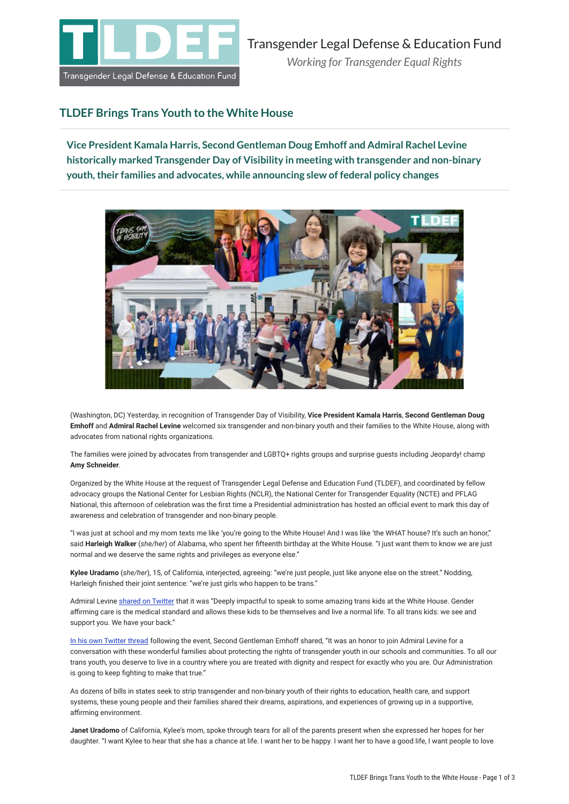

## **TLDEF Brings Trans Youth to the White House**

**Vice President Kamala Harris, Second Gentleman Doug Emhoff and Admiral Rachel Levine historically marked Transgender Day of Visibility in meeting with transgender and non-binary youth, their families and advocates, while announcing slew of federal policy changes**



(Washington, DC) Yesterday, in recognition of Transgender Day of Visibility, **Vice President Kamala Harris**, **Second Gentleman Doug Emhoff** and **Admiral Rachel Levine** welcomed six transgender and non-binary youth and their families to the White House, along with advocates from national rights organizations.

The families were joined by advocates from transgender and LGBTQ+ rights groups and surprise guests including Jeopardy! champ **Amy Schneider**.

Organized by the White House at the request of Transgender Legal Defense and Education Fund (TLDEF), and coordinated by fellow advocacy groups the National Center for Lesbian Rights (NCLR), the National Center for Transgender Equality (NCTE) and PFLAG National, this afternoon of celebration was the first time a Presidential administration has hosted an official event to mark this day of awareness and celebration of transgender and non-binary people.

"I was just at school and my mom texts me like 'you're going to the White House! And I was like 'the WHAT house? It's such an honor," said **Harleigh Walker** (*she/her*) of Alabama, who spent her fifteenth birthday at the White House. "I just want them to know we are just normal and we deserve the same rights and privileges as everyone else."

**Kylee Uradamo** (*she/her*), 15, of California, interjected, agreeing: "we're just people, just like anyone else on the street." Nodding, Harleigh finished their joint sentence: "we're just girls who happen to be trans."

Admiral Levine [shared on Twitter](https://twitter.com/HHS_ASH/status/1509597759078379524) that it was "Deeply impactful to speak to some amazing trans kids at the White House. Gender affirming care is the medical standard and allows these kids to be themselves and live a normal life. To all trans kids: we see and support you. We have your back."

[In his own Twitter thread](https://twitter.com/SecondGentleman/status/1509653234180370437) following the event, Second Gentleman Emhoff shared, "It was an honor to join Admiral Levine for a conversation with these wonderful families about protecting the rights of transgender youth in our schools and communities. To all our trans youth, you deserve to live in a country where you are treated with dignity and respect for exactly who you are. Our Administration is going to keep fighting to make that true."

As dozens of bills in states seek to strip transgender and non-binary youth of their rights to education, health care, and support systems, these young people and their families shared their dreams, aspirations, and experiences of growing up in a supportive, affirming environment.

**Janet Uradomo** of California, Kylee's mom, spoke through tears for all of the parents present when she expressed her hopes for her daughter. "I want Kylee to hear that she has a chance at life. I want her to be happy. I want her to have a good life, I want people to love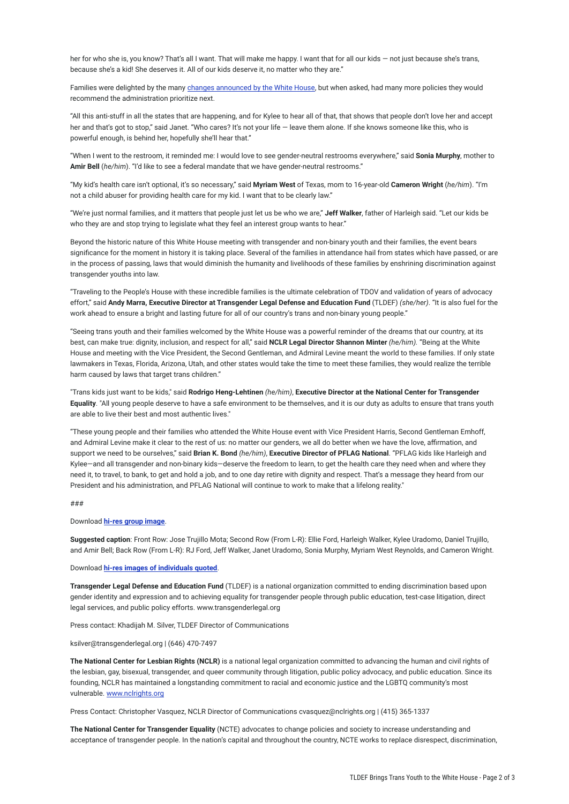her for who she is, you know? That's all I want. That will make me happy. I want that for all our kids — not just because she's trans, because she's a kid! She deserves it. All of our kids deserve it, no matter who they are."

Families were delighted by the many [changes announced by the White House,](https://www.whitehouse.gov/briefing-room/statements-releases/2022/03/31/fact-sheet-biden-harris-administration-advances-equality-and-visibility-for-transgender-americans/) but when asked, had many more policies they would recommend the administration prioritize next.

"All this anti-stuff in all the states that are happening, and for Kylee to hear all of that, that shows that people don't love her and accept her and that's got to stop," said Janet. "Who cares? It's not your life - leave them alone. If she knows someone like this, who is powerful enough, is behind her, hopefully she'll hear that."

"When I went to the restroom, it reminded me: I would love to see gender-neutral restrooms everywhere," said **Sonia Murphy**, mother to **Amir Bell** (*he/him*). "I'd like to see a federal mandate that we have gender-neutral restrooms."

"My kid's health care isn't optional, it's so necessary," said **Myriam West** of Texas, mom to 16-year-old **Cameron Wright** (*he/him*). "I'm not a child abuser for providing health care for my kid. I want that to be clearly law."

"We're just normal families, and it matters that people just let us be who we are," **Jeff Walker**, father of Harleigh said. "Let our kids be who they are and stop trying to legislate what they feel an interest group wants to hear."

Beyond the historic nature of this White House meeting with transgender and non-binary youth and their families, the event bears significance for the moment in history it is taking place. Several of the families in attendance hail from states which have passed, or are in the process of passing, laws that would diminish the humanity and livelihoods of these families by enshrining discrimination against transgender youths into law.

"Traveling to the People's House with these incredible families is the ultimate celebration of TDOV and validation of years of advocacy effort," said **Andy Marra, Executive Director at Transgender Legal Defense and Education Fund** (TLDEF) *(she/her)*. "It is also fuel for the work ahead to ensure a bright and lasting future for all of our country's trans and non-binary young people."

"Seeing trans youth and their families welcomed by the White House was a powerful reminder of the dreams that our country, at its best, can make true: dignity, inclusion, and respect for all," said **NCLR Legal Director Shannon Minter** *(he/him).* "Being at the White House and meeting with the Vice President, the Second Gentleman, and Admiral Levine meant the world to these families. If only state lawmakers in Texas, Florida, Arizona, Utah, and other states would take the time to meet these families, they would realize the terrible harm caused by laws that target trans children."

"Trans kids just want to be kids," said **Rodrigo Heng-Lehtinen** *(he/him)*, **Executive Director at the National Center for Transgender Equality**. "All young people deserve to have a safe environment to be themselves, and it is our duty as adults to ensure that trans youth are able to live their best and most authentic lives."

"These young people and their families who attended the White House event with Vice President Harris, Second Gentleman Emhoff, and Admiral Levine make it clear to the rest of us: no matter our genders, we all do better when we have the love, affirmation, and support we need to be ourselves," said **Brian K. Bond** *(he/him)*, **Executive Director of PFLAG National**. "PFLAG kids like Harleigh and Kylee—and all transgender and non-binary kids—deserve the freedom to learn, to get the health care they need when and where they need it, to travel, to bank, to get and hold a job, and to one day retire with dignity and respect. That's a message they heard from our President and his administration, and PFLAG National will continue to work to make that a lifelong reality."

### ###

Download **[hi-res group image](https://drive.google.com/file/d/1-m8AzEE7DeVoi2UGHGSknICgCDzh6SEE/view?usp=sharing)**.

**Suggested caption**: Front Row: Jose Trujillo Mota; Second Row (From L-R): Ellie Ford, Harleigh Walker, Kylee Uradomo, Daniel Trujillo, and Amir Bell; Back Row (From L-R): RJ Ford, Jeff Walker, Janet Uradomo, Sonia Murphy, Myriam West Reynolds, and Cameron Wright.

#### Download **[hi-res images of individuals quoted](https://drive.google.com/drive/folders/1K9Awps6G2C9BWjJRAMskNy7NOGrJoAPA?usp=sharing)**.

**Transgender Legal Defense and Education Fund** (TLDEF) is a national organization committed to ending discrimination based upon gender identity and expression and to achieving equality for transgender people through public education, test-case litigation, direct legal services, and public policy efforts. www.transgenderlegal.org

Press contact: Khadijah M. Silver, TLDEF Director of Communications

### ksilver@transgenderlegal.org | (646) 470-7497

**The National Center for Lesbian Rights (NCLR)** is a national legal organization committed to advancing the human and civil rights of the lesbian, gay, bisexual, transgender, and queer community through litigation, public policy advocacy, and public education. Since its founding, NCLR has maintained a longstanding commitment to racial and economic justice and the LGBTQ community's most vulnerable. [www.nclrights.org](https://www.nclrights.org/)

Press Contact: Christopher Vasquez, NCLR Director of Communications cvasquez@nclrights.org | (415) 365-1337

**The National Center for Transgender Equality** (NCTE) advocates to change policies and society to increase understanding and acceptance of transgender people. In the nation's capital and throughout the country, NCTE works to replace disrespect, discrimination,